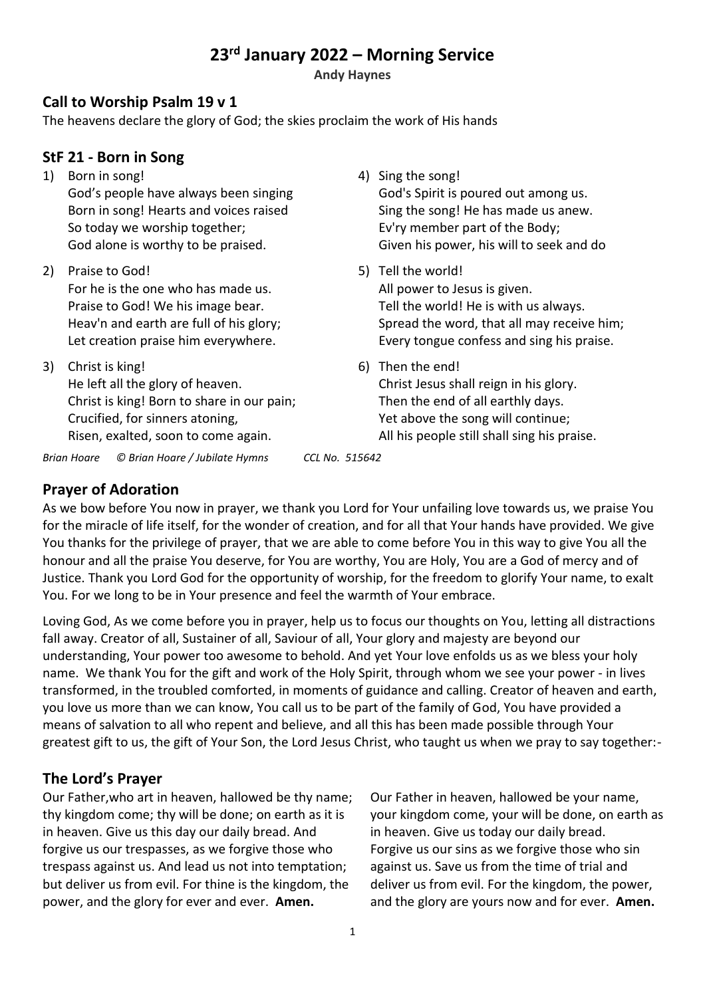# **23rd January 2022 – Morning Service**

**Andy Haynes**

#### **Call to Worship Psalm 19 v 1**

The heavens declare the glory of God; the skies proclaim the work of His hands

#### **StF 21 - Born in Song**

- 1) Born in song! God's people have always been singing Born in song! Hearts and voices raised So today we worship together; God alone is worthy to be praised.
- 2) Praise to God! For he is the one who has made us. Praise to God! We his image bear. Heav'n and earth are full of his glory; Let creation praise him everywhere.
- 3) Christ is king! He left all the glory of heaven. Christ is king! Born to share in our pain; Crucified, for sinners atoning, Risen, exalted, soon to come again.
- 4) Sing the song! God's Spirit is poured out among us. Sing the song! He has made us anew. Ev'ry member part of the Body; Given his power, his will to seek and do
- 5) Tell the world! All power to Jesus is given. Tell the world! He is with us always. Spread the word, that all may receive him; Every tongue confess and sing his praise.
- 6) Then the end! Christ Jesus shall reign in his glory. Then the end of all earthly days. Yet above the song will continue; All his people still shall sing his praise.

*Brian Hoare © Brian Hoare / Jubilate Hymns CCL No. 515642*

## **Prayer of Adoration**

As we bow before You now in prayer, we thank you Lord for Your unfailing love towards us, we praise You for the miracle of life itself, for the wonder of creation, and for all that Your hands have provided. We give You thanks for the privilege of prayer, that we are able to come before You in this way to give You all the honour and all the praise You deserve, for You are worthy, You are Holy, You are a God of mercy and of Justice. Thank you Lord God for the opportunity of worship, for the freedom to glorify Your name, to exalt You. For we long to be in Your presence and feel the warmth of Your embrace.

Loving God, As we come before you in prayer, help us to focus our thoughts on You, letting all distractions fall away. Creator of all, Sustainer of all, Saviour of all, Your glory and majesty are beyond our understanding, Your power too awesome to behold. And yet Your love enfolds us as we bless your holy name. We thank You for the gift and work of the Holy Spirit, through whom we see your power - in lives transformed, in the troubled comforted, in moments of guidance and calling. Creator of heaven and earth, you love us more than we can know, You call us to be part of the family of God, You have provided a means of salvation to all who repent and believe, and all this has been made possible through Your greatest gift to us, the gift of Your Son, the Lord Jesus Christ, who taught us when we pray to say together:-

## **The Lord's Prayer**

Our Father,who art in heaven, hallowed be thy name; thy kingdom come; thy will be done; on earth as it is in heaven. Give us this day our daily bread. And forgive us our trespasses, as we forgive those who trespass against us. And lead us not into temptation; but deliver us from evil. For thine is the kingdom, the power, and the glory for ever and ever. **Amen.**

Our Father in heaven, hallowed be your name, your kingdom come, your will be done, on earth as in heaven. Give us today our daily bread. Forgive us our sins as we forgive those who sin against us. Save us from the time of trial and deliver us from evil. For the kingdom, the power, and the glory are yours now and for ever. **Amen.**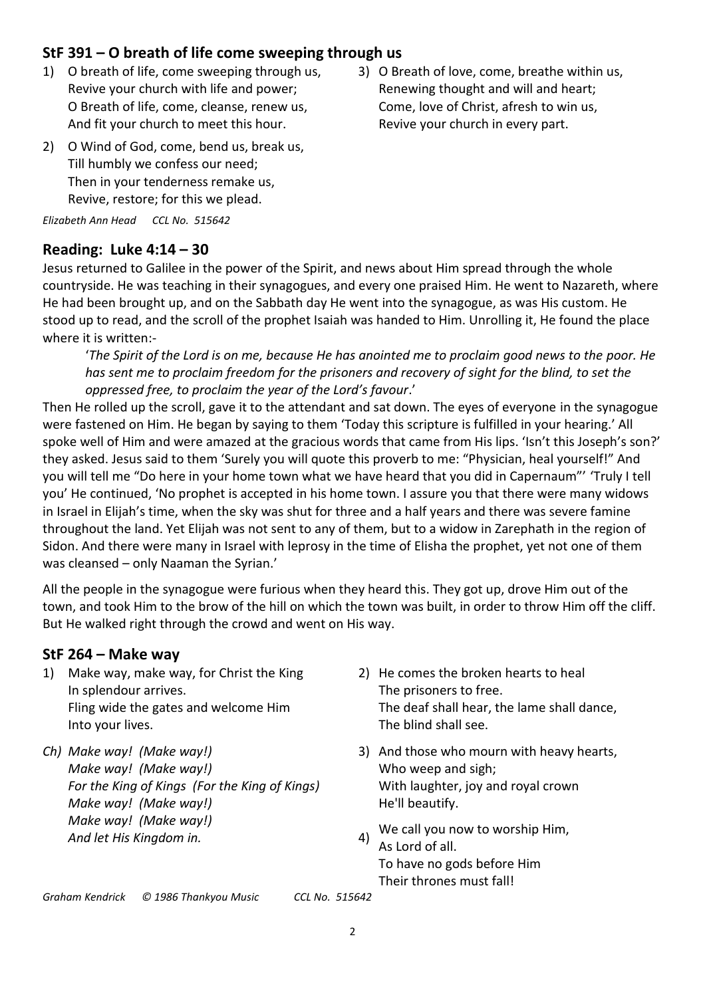## **StF 391 – O breath of life come sweeping through us**

- 1) O breath of life, come sweeping through us, Revive your church with life and power; O Breath of life, come, cleanse, renew us, And fit your church to meet this hour.
- 3) O Breath of love, come, breathe within us, Renewing thought and will and heart; Come, love of Christ, afresh to win us, Revive your church in every part.
- 2) O Wind of God, come, bend us, break us, Till humbly we confess our need; Then in your tenderness remake us, Revive, restore; for this we plead.

*Elizabeth Ann Head CCL No. 515642*

### **Reading: Luke 4:14 – 30**

Jesus returned to Galilee in the power of the Spirit, and news about Him spread through the whole countryside. He was teaching in their synagogues, and every one praised Him. He went to Nazareth, where He had been brought up, and on the Sabbath day He went into the synagogue, as was His custom. He stood up to read, and the scroll of the prophet Isaiah was handed to Him. Unrolling it, He found the place where it is written:-

'*The Spirit of the Lord is on me, because He has anointed me to proclaim good news to the poor. He has sent me to proclaim freedom for the prisoners and recovery of sight for the blind, to set the oppressed free, to proclaim the year of the Lord's favour*.'

Then He rolled up the scroll, gave it to the attendant and sat down. The eyes of everyone in the synagogue were fastened on Him. He began by saying to them 'Today this scripture is fulfilled in your hearing.' All spoke well of Him and were amazed at the gracious words that came from His lips. 'Isn't this Joseph's son?' they asked. Jesus said to them 'Surely you will quote this proverb to me: "Physician, heal yourself!" And you will tell me "Do here in your home town what we have heard that you did in Capernaum"' 'Truly I tell you' He continued, 'No prophet is accepted in his home town. I assure you that there were many widows in Israel in Elijah's time, when the sky was shut for three and a half years and there was severe famine throughout the land. Yet Elijah was not sent to any of them, but to a widow in Zarephath in the region of Sidon. And there were many in Israel with leprosy in the time of Elisha the prophet, yet not one of them was cleansed – only Naaman the Syrian.'

All the people in the synagogue were furious when they heard this. They got up, drove Him out of the town, and took Him to the brow of the hill on which the town was built, in order to throw Him off the cliff. But He walked right through the crowd and went on His way.

#### **StF 264 – Make way**

- 1) Make way, make way, for Christ the King In splendour arrives. Fling wide the gates and welcome Him Into your lives.
- *Ch) Make way! (Make way!) Make way! (Make way!) For the King of Kings (For the King of Kings) Make way! (Make way!) Make way! (Make way!) And let His Kingdom in.*
- 2) He comes the broken hearts to heal The prisoners to free. The deaf shall hear, the lame shall dance, The blind shall see.
- 3) And those who mourn with heavy hearts, Who weep and sigh; With laughter, joy and royal crown He'll beautify.
- 4) We call you now to worship Him, As Lord of all. To have no gods before Him Their thrones must fall!

*Graham Kendrick © 1986 Thankyou Music CCL No. 515642*

2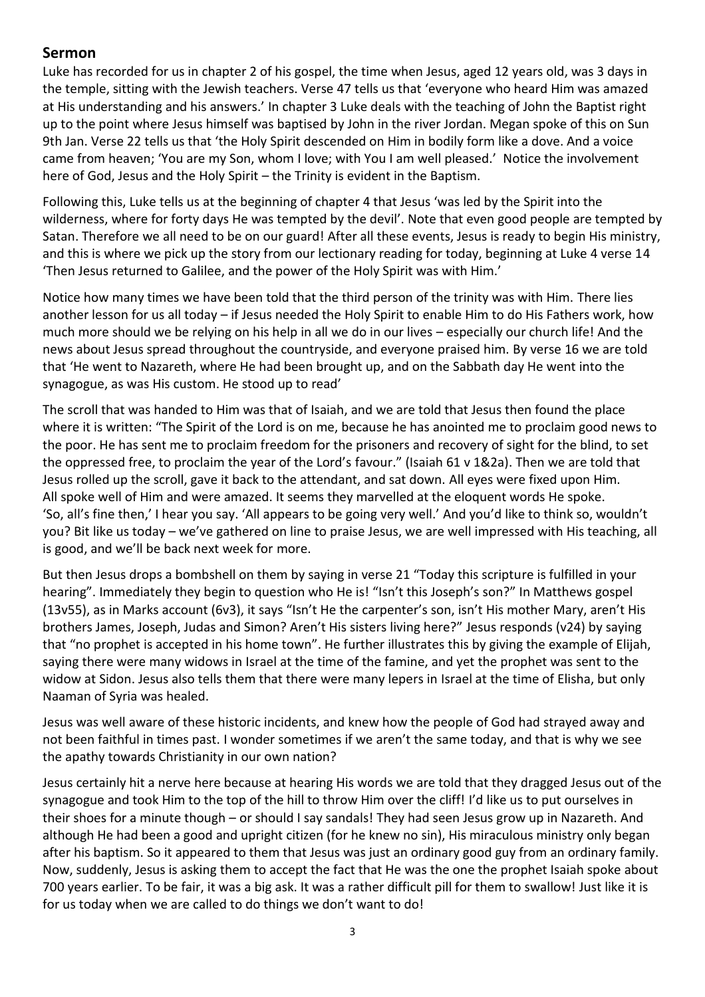#### **Sermon**

Luke has recorded for us in chapter 2 of his gospel, the time when Jesus, aged 12 years old, was 3 days in the temple, sitting with the Jewish teachers. Verse 47 tells us that 'everyone who heard Him was amazed at His understanding and his answers.' In chapter 3 Luke deals with the teaching of John the Baptist right up to the point where Jesus himself was baptised by John in the river Jordan. Megan spoke of this on Sun 9th Jan. Verse 22 tells us that 'the Holy Spirit descended on Him in bodily form like a dove. And a voice came from heaven; 'You are my Son, whom I love; with You I am well pleased.' Notice the involvement here of God, Jesus and the Holy Spirit – the Trinity is evident in the Baptism.

Following this, Luke tells us at the beginning of chapter 4 that Jesus 'was led by the Spirit into the wilderness, where for forty days He was tempted by the devil'. Note that even good people are tempted by Satan. Therefore we all need to be on our guard! After all these events, Jesus is ready to begin His ministry, and this is where we pick up the story from our lectionary reading for today, beginning at Luke 4 verse 14 'Then Jesus returned to Galilee, and the power of the Holy Spirit was with Him.'

Notice how many times we have been told that the third person of the trinity was with Him. There lies another lesson for us all today – if Jesus needed the Holy Spirit to enable Him to do His Fathers work, how much more should we be relying on his help in all we do in our lives – especially our church life! And the news about Jesus spread throughout the countryside, and everyone praised him. By verse 16 we are told that 'He went to Nazareth, where He had been brought up, and on the Sabbath day He went into the synagogue, as was His custom. He stood up to read'

The scroll that was handed to Him was that of Isaiah, and we are told that Jesus then found the place where it is written: "The Spirit of the Lord is on me, because he has anointed me to proclaim good news to the poor. He has sent me to proclaim freedom for the prisoners and recovery of sight for the blind, to set the oppressed free, to proclaim the year of the Lord's favour." (Isaiah 61 v 1&2a). Then we are told that Jesus rolled up the scroll, gave it back to the attendant, and sat down. All eyes were fixed upon Him. All spoke well of Him and were amazed. It seems they marvelled at the eloquent words He spoke. 'So, all's fine then,' I hear you say. 'All appears to be going very well.' And you'd like to think so, wouldn't you? Bit like us today – we've gathered on line to praise Jesus, we are well impressed with His teaching, all is good, and we'll be back next week for more.

But then Jesus drops a bombshell on them by saying in verse 21 "Today this scripture is fulfilled in your hearing". Immediately they begin to question who He is! "Isn't this Joseph's son?" In Matthews gospel (13v55), as in Marks account (6v3), it says "Isn't He the carpenter's son, isn't His mother Mary, aren't His brothers James, Joseph, Judas and Simon? Aren't His sisters living here?" Jesus responds (v24) by saying that "no prophet is accepted in his home town". He further illustrates this by giving the example of Elijah, saying there were many widows in Israel at the time of the famine, and yet the prophet was sent to the widow at Sidon. Jesus also tells them that there were many lepers in Israel at the time of Elisha, but only Naaman of Syria was healed.

Jesus was well aware of these historic incidents, and knew how the people of God had strayed away and not been faithful in times past. I wonder sometimes if we aren't the same today, and that is why we see the apathy towards Christianity in our own nation?

Jesus certainly hit a nerve here because at hearing His words we are told that they dragged Jesus out of the synagogue and took Him to the top of the hill to throw Him over the cliff! I'd like us to put ourselves in their shoes for a minute though – or should I say sandals! They had seen Jesus grow up in Nazareth. And although He had been a good and upright citizen (for he knew no sin), His miraculous ministry only began after his baptism. So it appeared to them that Jesus was just an ordinary good guy from an ordinary family. Now, suddenly, Jesus is asking them to accept the fact that He was the one the prophet Isaiah spoke about 700 years earlier. To be fair, it was a big ask. It was a rather difficult pill for them to swallow! Just like it is for us today when we are called to do things we don't want to do!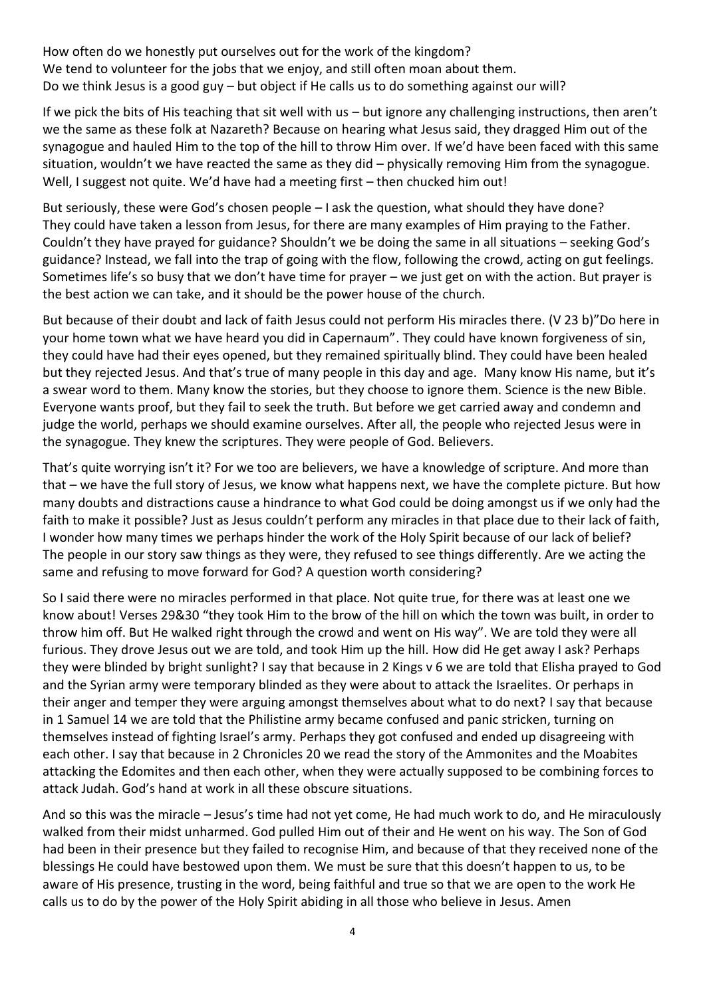How often do we honestly put ourselves out for the work of the kingdom? We tend to volunteer for the jobs that we enjoy, and still often moan about them. Do we think Jesus is a good guy – but object if He calls us to do something against our will?

If we pick the bits of His teaching that sit well with us – but ignore any challenging instructions, then aren't we the same as these folk at Nazareth? Because on hearing what Jesus said, they dragged Him out of the synagogue and hauled Him to the top of the hill to throw Him over. If we'd have been faced with this same situation, wouldn't we have reacted the same as they did – physically removing Him from the synagogue. Well, I suggest not quite. We'd have had a meeting first – then chucked him out!

But seriously, these were God's chosen people – I ask the question, what should they have done? They could have taken a lesson from Jesus, for there are many examples of Him praying to the Father. Couldn't they have prayed for guidance? Shouldn't we be doing the same in all situations – seeking God's guidance? Instead, we fall into the trap of going with the flow, following the crowd, acting on gut feelings. Sometimes life's so busy that we don't have time for prayer – we just get on with the action. But prayer is the best action we can take, and it should be the power house of the church.

But because of their doubt and lack of faith Jesus could not perform His miracles there. (V 23 b)"Do here in your home town what we have heard you did in Capernaum". They could have known forgiveness of sin, they could have had their eyes opened, but they remained spiritually blind. They could have been healed but they rejected Jesus. And that's true of many people in this day and age. Many know His name, but it's a swear word to them. Many know the stories, but they choose to ignore them. Science is the new Bible. Everyone wants proof, but they fail to seek the truth. But before we get carried away and condemn and judge the world, perhaps we should examine ourselves. After all, the people who rejected Jesus were in the synagogue. They knew the scriptures. They were people of God. Believers.

That's quite worrying isn't it? For we too are believers, we have a knowledge of scripture. And more than that – we have the full story of Jesus, we know what happens next, we have the complete picture. But how many doubts and distractions cause a hindrance to what God could be doing amongst us if we only had the faith to make it possible? Just as Jesus couldn't perform any miracles in that place due to their lack of faith, I wonder how many times we perhaps hinder the work of the Holy Spirit because of our lack of belief? The people in our story saw things as they were, they refused to see things differently. Are we acting the same and refusing to move forward for God? A question worth considering?

So I said there were no miracles performed in that place. Not quite true, for there was at least one we know about! Verses 29&30 "they took Him to the brow of the hill on which the town was built, in order to throw him off. But He walked right through the crowd and went on His way". We are told they were all furious. They drove Jesus out we are told, and took Him up the hill. How did He get away I ask? Perhaps they were blinded by bright sunlight? I say that because in 2 Kings v 6 we are told that Elisha prayed to God and the Syrian army were temporary blinded as they were about to attack the Israelites. Or perhaps in their anger and temper they were arguing amongst themselves about what to do next? I say that because in 1 Samuel 14 we are told that the Philistine army became confused and panic stricken, turning on themselves instead of fighting Israel's army. Perhaps they got confused and ended up disagreeing with each other. I say that because in 2 Chronicles 20 we read the story of the Ammonites and the Moabites attacking the Edomites and then each other, when they were actually supposed to be combining forces to attack Judah. God's hand at work in all these obscure situations.

And so this was the miracle – Jesus's time had not yet come, He had much work to do, and He miraculously walked from their midst unharmed. God pulled Him out of their and He went on his way. The Son of God had been in their presence but they failed to recognise Him, and because of that they received none of the blessings He could have bestowed upon them. We must be sure that this doesn't happen to us, to be aware of His presence, trusting in the word, being faithful and true so that we are open to the work He calls us to do by the power of the Holy Spirit abiding in all those who believe in Jesus. Amen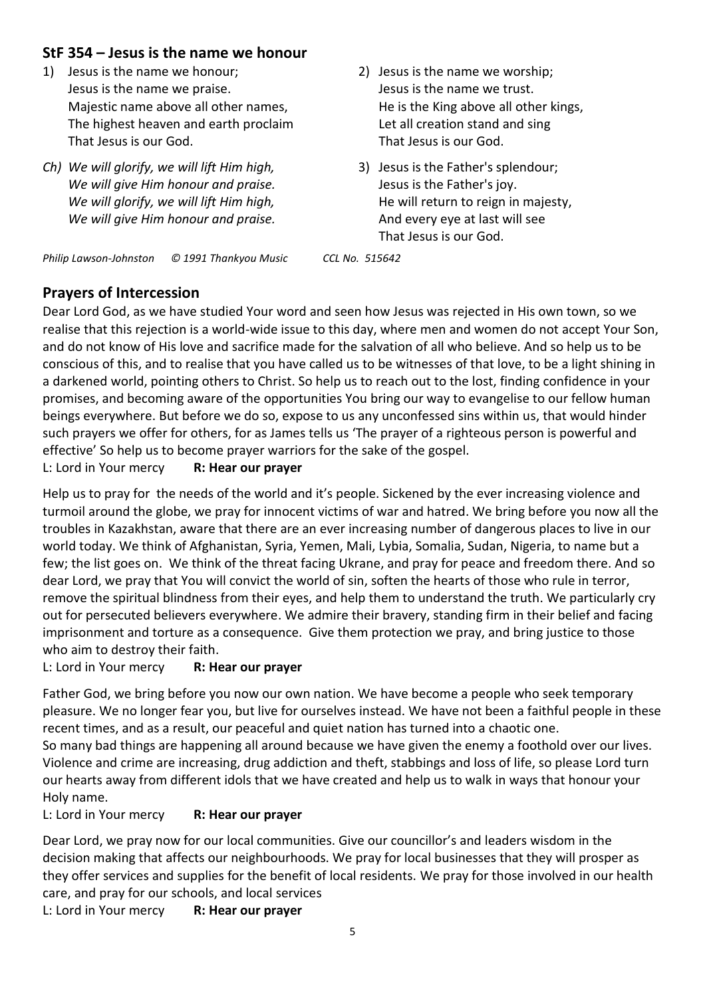### **StF 354 – Jesus is the name we honour**

- 1) Jesus is the name we honour; Jesus is the name we praise. Majestic name above all other names, The highest heaven and earth proclaim That Jesus is our God.
- *Ch) We will glorify, we will lift Him high, We will give Him honour and praise. We will glorify, we will lift Him high, We will give Him honour and praise.*
- 2) Jesus is the name we worship; Jesus is the name we trust. He is the King above all other kings, Let all creation stand and sing That Jesus is our God.
- 3) Jesus is the Father's splendour; Jesus is the Father's joy. He will return to reign in majesty, And every eye at last will see That Jesus is our God.

*Philip Lawson-Johnston © 1991 Thankyou Music CCL No. 515642*

### **Prayers of Intercession**

Dear Lord God, as we have studied Your word and seen how Jesus was rejected in His own town, so we realise that this rejection is a world-wide issue to this day, where men and women do not accept Your Son, and do not know of His love and sacrifice made for the salvation of all who believe. And so help us to be conscious of this, and to realise that you have called us to be witnesses of that love, to be a light shining in a darkened world, pointing others to Christ. So help us to reach out to the lost, finding confidence in your promises, and becoming aware of the opportunities You bring our way to evangelise to our fellow human beings everywhere. But before we do so, expose to us any unconfessed sins within us, that would hinder such prayers we offer for others, for as James tells us 'The prayer of a righteous person is powerful and effective' So help us to become prayer warriors for the sake of the gospel.

L: Lord in Your mercy **R: Hear our prayer**

Help us to pray for the needs of the world and it's people. Sickened by the ever increasing violence and turmoil around the globe, we pray for innocent victims of war and hatred. We bring before you now all the troubles in Kazakhstan, aware that there are an ever increasing number of dangerous places to live in our world today. We think of Afghanistan, Syria, Yemen, Mali, Lybia, Somalia, Sudan, Nigeria, to name but a few; the list goes on. We think of the threat facing Ukrane, and pray for peace and freedom there. And so dear Lord, we pray that You will convict the world of sin, soften the hearts of those who rule in terror, remove the spiritual blindness from their eyes, and help them to understand the truth. We particularly cry out for persecuted believers everywhere. We admire their bravery, standing firm in their belief and facing imprisonment and torture as a consequence. Give them protection we pray, and bring justice to those who aim to destroy their faith.

L: Lord in Your mercy **R: Hear our prayer**

Father God, we bring before you now our own nation. We have become a people who seek temporary pleasure. We no longer fear you, but live for ourselves instead. We have not been a faithful people in these recent times, and as a result, our peaceful and quiet nation has turned into a chaotic one. So many bad things are happening all around because we have given the enemy a foothold over our lives. Violence and crime are increasing, drug addiction and theft, stabbings and loss of life, so please Lord turn our hearts away from different idols that we have created and help us to walk in ways that honour your Holy name.

L: Lord in Your mercy **R: Hear our prayer**

Dear Lord, we pray now for our local communities. Give our councillor's and leaders wisdom in the decision making that affects our neighbourhoods. We pray for local businesses that they will prosper as they offer services and supplies for the benefit of local residents. We pray for those involved in our health care, and pray for our schools, and local services L: Lord in Your mercy **R: Hear our prayer**